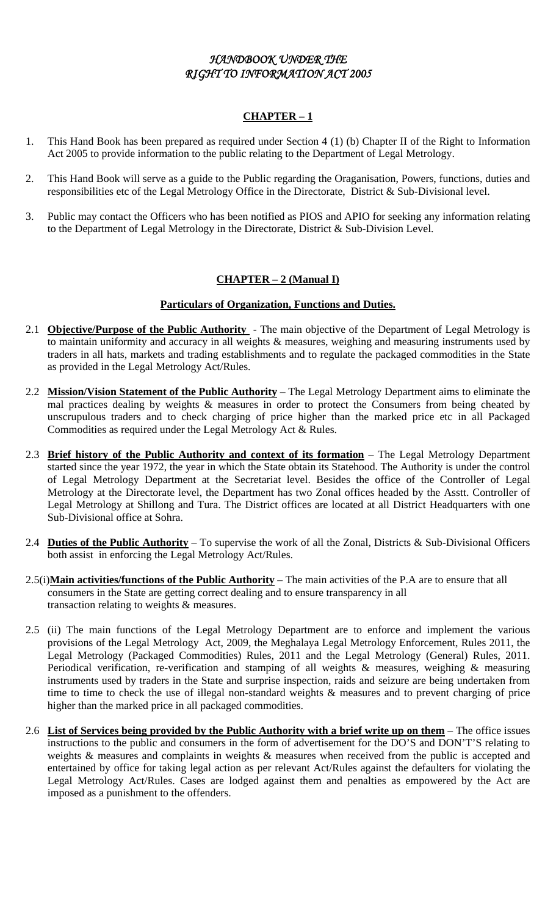## *HANDBOOK UNDER THE RIGHT TO INFORMATION ACT 2005*

## **CHAPTER – 1**

- 1. This Hand Book has been prepared as required under Section 4 (1) (b) Chapter II of the Right to Information Act 2005 to provide information to the public relating to the Department of Legal Metrology.
- 2. This Hand Book will serve as a guide to the Public regarding the Oraganisation, Powers, functions, duties and responsibilities etc of the Legal Metrology Office in the Directorate, District & Sub-Divisional level.
- 3. Public may contact the Officers who has been notified as PIOS and APIO for seeking any information relating to the Department of Legal Metrology in the Directorate, District & Sub-Division Level.

## **CHAPTER – 2 (Manual I)**

## **Particulars of Organization, Functions and Duties.**

- 2.1 **Objective/Purpose of the Public Authority** The main objective of the Department of Legal Metrology is to maintain uniformity and accuracy in all weights  $\&$  measures, weighing and measuring instruments used by traders in all hats, markets and trading establishments and to regulate the packaged commodities in the State as provided in the Legal Metrology Act/Rules.
- 2.2 **Mission/Vision Statement of the Public Authority** The Legal Metrology Department aims to eliminate the mal practices dealing by weights & measures in order to protect the Consumers from being cheated by unscrupulous traders and to check charging of price higher than the marked price etc in all Packaged Commodities as required under the Legal Metrology Act & Rules.
- 2.3 **Brief history of the Public Authority and context of its formation** The Legal Metrology Department started since the year 1972, the year in which the State obtain its Statehood. The Authority is under the control of Legal Metrology Department at the Secretariat level. Besides the office of the Controller of Legal Metrology at the Directorate level, the Department has two Zonal offices headed by the Asstt. Controller of Legal Metrology at Shillong and Tura. The District offices are located at all District Headquarters with one Sub-Divisional office at Sohra.
- 2.4 **Duties of the Public Authority** To supervise the work of all the Zonal, Districts & Sub-Divisional Officers both assist in enforcing the Legal Metrology Act/Rules.
- 2.5(i)**Main activities/functions of the Public Authority** The main activities of the P.A are to ensure that all consumers in the State are getting correct dealing and to ensure transparency in all transaction relating to weights & measures.
- 2.5 (ii) The main functions of the Legal Metrology Department are to enforce and implement the various provisions of the Legal Metrology Act, 2009, the Meghalaya Legal Metrology Enforcement, Rules 2011, the Legal Metrology (Packaged Commodities) Rules, 2011 and the Legal Metrology (General) Rules, 2011. Periodical verification, re-verification and stamping of all weights & measures, weighing & measuring instruments used by traders in the State and surprise inspection, raids and seizure are being undertaken from time to time to check the use of illegal non-standard weights & measures and to prevent charging of price higher than the marked price in all packaged commodities.
- 2.6 **List of Services being provided by the Public Authority with a brief write up on them** The office issues instructions to the public and consumers in the form of advertisement for the DO'S and DON'T'S relating to weights & measures and complaints in weights & measures when received from the public is accepted and entertained by office for taking legal action as per relevant Act/Rules against the defaulters for violating the Legal Metrology Act/Rules. Cases are lodged against them and penalties as empowered by the Act are imposed as a punishment to the offenders.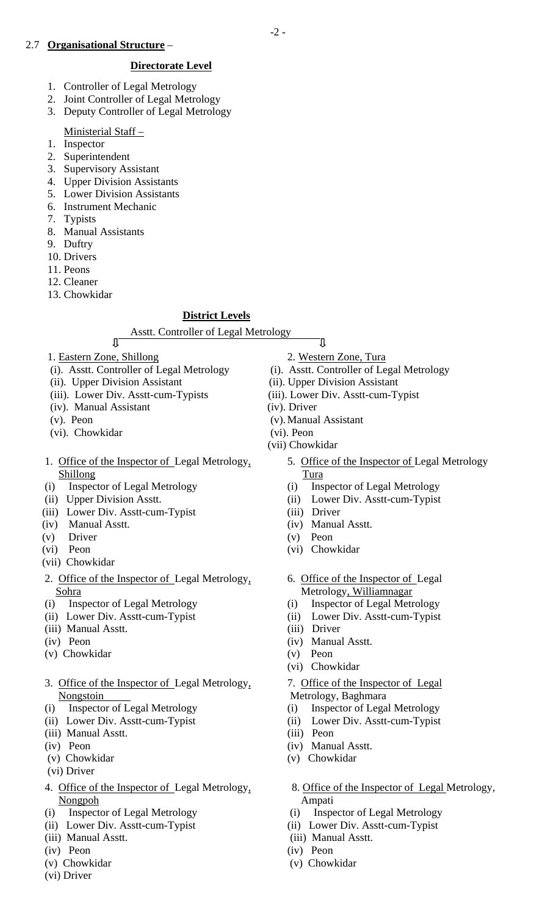## 2.7 **Organisational Structure** –

## **Directorate Level**

- 1. Controller of Legal Metrology
- 2. Joint Controller of Legal Metrology
- 3. Deputy Controller of Legal Metrology
- Ministerial Staff –
- 1. Inspector
- 2. Superintendent
- 3. Supervisory Assistant
- 4. Upper Division Assistants
- 5. Lower Division Assistants
- 6. Instrument Mechanic
- 7. Typists
- 8. Manual Assistants
- 9. Duftry
- 10. Drivers
- 11. Peons
- 12. Cleaner
- 13. Chowkidar

## **District Levels**

Asstt. Controller of Legal Metrology

- 1. Eastern Zone, Shillong 2. Western Zone, Tura
- (i). Asstt. Controller of Legal Metrology (i). Asstt. Controller of Legal Metrology
- (ii). Upper Division Assistant (ii). Upper Division Assistant
- (iii). Lower Div. Asstt-cum-Typists (iii). Lower Div. Asstt-cum-Typist
- (iv). Manual Assistant (iv). Driver
- 
- (vi). Chowkidar (vi). Peon
- 1. Office of the Inspector of Legal Metrology, 5. Office of the Inspector of Legal Metrology Shillong Tura
- 
- 
- (iii) Lower Div. Asstt-cum-Typist (iii) Driver
- (iv) Manual Asstt. (iv) Manual Asstt.
- (v) Driver (v) Peon
	-
	- (vii) Chowkidar
	- 2. Office of the Inspector of Legal Metrology, 6. Office of the Inspector of Legal Sohra Metrology, Williamnagar
	-
	-
	- (iii) Manual Asstt. (iii) Driver
	-
	- (v) Chowkidar (v) Peon
	- 3. Office of the Inspector of Legal Metrology, 7. Office of the Inspector of Legal Nongstoin Metrology, Baghmara
	- (i) Inspector of Legal Metrology (i) Inspector of Legal Metrology
	-
	- (iii) Manual Asstt. (iii) Peon
	-
	-
	- (vi) Driver
	- 4. Office of the Inspector of Legal Metrology, 8. Office of the Inspector of Legal Metrology, Nongpoh Ampati
	- (i) Inspector of Legal Metrology (i) Inspector of Legal Metrology
	- (ii) Lower Div. Asstt-cum-Typist (ii) Lower Div. Asstt-cum-Typist
	- (iii) Manual Asstt. (iii) Manual Asstt.
	- (iv) Peon (iv) Peon
	- (v) Chowkidar (v) Chowkidar
	- (vi) Driver
- Ţ
- 
- 
- 
- 
- (v). Peon (v). Manual Assistant
	-

-2 -

- (vii) Chowkidar
	-
- (i) Inspector of Legal Metrology (i) Inspector of Legal Metrology
- (ii) Upper Division Asstt. (ii) Lower Div. Asstt-cum-Typist
	-
	-
	-
- (vi) Peon (vi) Chowkidar
	-
- (i) Inspector of Legal Metrology (i) Inspector of Legal Metrology
- (ii) Lower Div. Asstt-cum-Typist (ii) Lower Div. Asstt-cum-Typist
	-
- (iv) Peon (iv) Manual Asstt.
	-
	- (vi) Chowkidar
	-
	-
- (ii) Lower Div. Asstt-cum-Typist (ii) Lower Div. Asstt-cum-Typist
	-
- (iv) Peon (iv) Manual Asstt.
- (v) Chowkidar (v) Chowkidar
	-
	-
	-
	-
	-
	-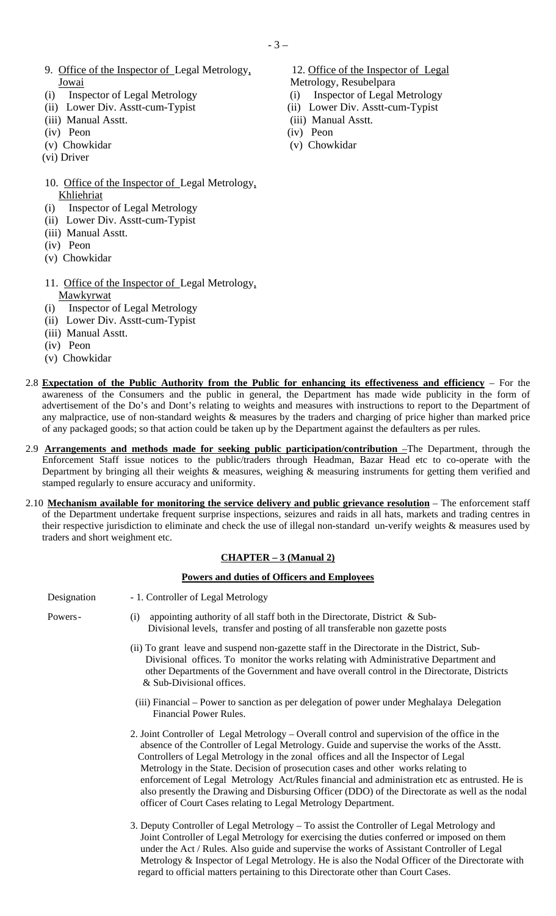- 9. Office of the Inspector of Legal Metrology, 12. Office of the Inspector of Legal Jowai Metrology, Resubelpara
- (i) Inspector of Legal Metrology (i) Inspector of Legal Metrology
- (ii) Lower Div. Asstt-cum-Typist (ii) Lower Div. Asstt-cum-Typist
- (iii) Manual Asstt. (iii) Manual Asstt.
- (iv) Peon (iv) Peon
- (v) Chowkidar (v) Chowkidar
- (vi) Driver
- 10. Office of the Inspector of Legal Metrology, Khliehriat
- (i) Inspector of Legal Metrology
- (ii) Lower Div. Asstt-cum-Typist
- (iii) Manual Asstt.
- (iv) Peon
- (v) Chowkidar
- 11. Office of the Inspector of Legal Metrology, **Mawkyrwat**
- (i) Inspector of Legal Metrology
- (ii) Lower Div. Asstt-cum-Typist
- (iii) Manual Asstt.
- (iv) Peon
- (v) Chowkidar
- 
- 
- 
- 
- 
- 

- 2.8 **Expectation of the Public Authority from the Public for enhancing its effectiveness and efficiency** For the awareness of the Consumers and the public in general, the Department has made wide publicity in the form of advertisement of the Do's and Dont's relating to weights and measures with instructions to report to the Department of any malpractice, use of non-standard weights & measures by the traders and charging of price higher than marked price of any packaged goods; so that action could be taken up by the Department against the defaulters as per rules. 2.9 **Arrangements and methods made for seeking public participation/contribution** –The Department, through the Enforcement Staff issue notices to the public/traders through Headman, Bazar Head etc to co-operate with the Department by bringing all their weights & measures, weighing & measuring instruments for getting them verified and stamped regularly to ensure accuracy and uniformity.
	- 2.10 **Mechanism available for monitoring the service delivery and public grievance resolution** The enforcement staff of the Department undertake frequent surprise inspections, seizures and raids in all hats, markets and trading centres in their respective jurisdiction to eliminate and check the use of illegal non-standard un-verify weights & measures used by traders and short weighment etc.

## **CHAPTER – 3 (Manual 2)**

## **Powers and duties of Officers and Employees**

Designation - 1. Controller of Legal Metrology

- Powers (i) appointing authority of all staff both in the Directorate, District & Sub- Divisional levels, transfer and posting of all transferable non gazette posts
	- (ii) To grant leave and suspend non-gazette staff in the Directorate in the District, Sub- Divisional offices. To monitor the works relating with Administrative Department and other Departments of the Government and have overall control in the Directorate, Districts & Sub-Divisional offices.
	- (iii) Financial Power to sanction as per delegation of power under Meghalaya Delegation Financial Power Rules.
	- 2. Joint Controller of Legal Metrology Overall control and supervision of the office in the absence of the Controller of Legal Metrology. Guide and supervise the works of the Asstt. Controllers of Legal Metrology in the zonal offices and all the Inspector of Legal Metrology in the State. Decision of prosecution cases and other works relating to enforcement of Legal Metrology Act/Rules financial and administration etc as entrusted. He is also presently the Drawing and Disbursing Officer (DDO) of the Directorate as well as the nodal officer of Court Cases relating to Legal Metrology Department.
	- 3. Deputy Controller of Legal Metrology To assist the Controller of Legal Metrology and Joint Controller of Legal Metrology for exercising the duties conferred or imposed on them under the Act / Rules. Also guide and supervise the works of Assistant Controller of Legal Metrology & Inspector of Legal Metrology. He is also the Nodal Officer of the Directorate with regard to official matters pertaining to this Directorate other than Court Cases.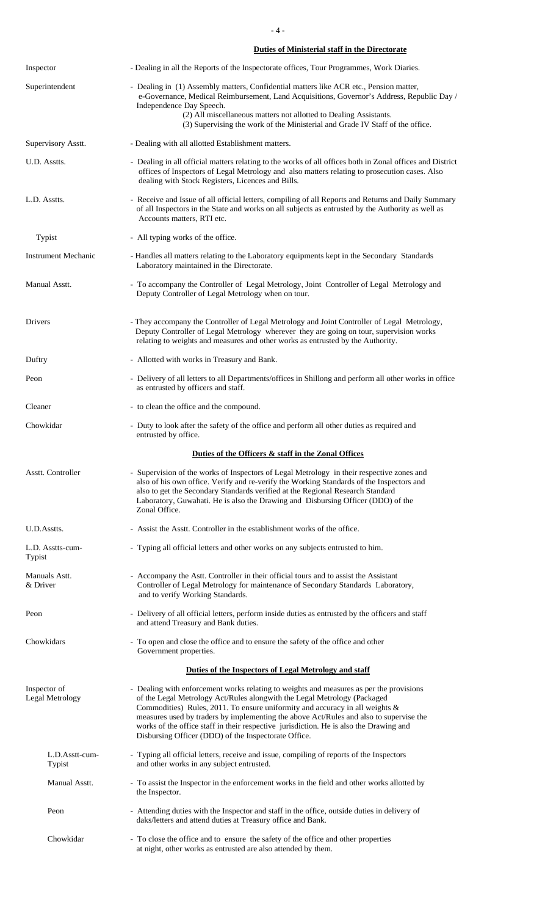- 4 -

### **Duties of Ministerial staff in the Directorate**

| Inspector                                                                                                                                                                                                                                              | - Dealing in all the Reports of the Inspectorate offices, Tour Programmes, Work Diaries.                                                                                                                                                                                                                                                                                                                                                                                                        |  |  |  |  |  |  |
|--------------------------------------------------------------------------------------------------------------------------------------------------------------------------------------------------------------------------------------------------------|-------------------------------------------------------------------------------------------------------------------------------------------------------------------------------------------------------------------------------------------------------------------------------------------------------------------------------------------------------------------------------------------------------------------------------------------------------------------------------------------------|--|--|--|--|--|--|
| Superintendent                                                                                                                                                                                                                                         | - Dealing in (1) Assembly matters, Confidential matters like ACR etc., Pension matter,<br>e-Governance, Medical Reimbursement, Land Acquisitions, Governor's Address, Republic Day /<br>Independence Day Speech.<br>(2) All miscellaneous matters not allotted to Dealing Assistants.<br>(3) Supervising the work of the Ministerial and Grade IV Staff of the office.                                                                                                                          |  |  |  |  |  |  |
| Supervisory Asstt.                                                                                                                                                                                                                                     | - Dealing with all allotted Establishment matters.                                                                                                                                                                                                                                                                                                                                                                                                                                              |  |  |  |  |  |  |
| U.D. Asstts.                                                                                                                                                                                                                                           | - Dealing in all official matters relating to the works of all offices both in Zonal offices and District<br>offices of Inspectors of Legal Metrology and also matters relating to prosecution cases. Also<br>dealing with Stock Registers, Licences and Bills.                                                                                                                                                                                                                                 |  |  |  |  |  |  |
| L.D. Asstts.<br>- Receive and Issue of all official letters, compiling of all Reports and Returns and Daily Summary<br>of all Inspectors in the State and works on all subjects as entrusted by the Authority as well as<br>Accounts matters, RTI etc. |                                                                                                                                                                                                                                                                                                                                                                                                                                                                                                 |  |  |  |  |  |  |
| Typist                                                                                                                                                                                                                                                 | - All typing works of the office.                                                                                                                                                                                                                                                                                                                                                                                                                                                               |  |  |  |  |  |  |
| <b>Instrument Mechanic</b>                                                                                                                                                                                                                             | - Handles all matters relating to the Laboratory equipments kept in the Secondary Standards<br>Laboratory maintained in the Directorate.                                                                                                                                                                                                                                                                                                                                                        |  |  |  |  |  |  |
| Manual Asstt.                                                                                                                                                                                                                                          | - To accompany the Controller of Legal Metrology, Joint Controller of Legal Metrology and<br>Deputy Controller of Legal Metrology when on tour.                                                                                                                                                                                                                                                                                                                                                 |  |  |  |  |  |  |
| Drivers                                                                                                                                                                                                                                                | - They accompany the Controller of Legal Metrology and Joint Controller of Legal Metrology,<br>Deputy Controller of Legal Metrology wherever they are going on tour, supervision works<br>relating to weights and measures and other works as entrusted by the Authority.                                                                                                                                                                                                                       |  |  |  |  |  |  |
| Duftry                                                                                                                                                                                                                                                 | - Allotted with works in Treasury and Bank.                                                                                                                                                                                                                                                                                                                                                                                                                                                     |  |  |  |  |  |  |
| Peon                                                                                                                                                                                                                                                   | - Delivery of all letters to all Departments/offices in Shillong and perform all other works in office<br>as entrusted by officers and staff.                                                                                                                                                                                                                                                                                                                                                   |  |  |  |  |  |  |
| Cleaner                                                                                                                                                                                                                                                | - to clean the office and the compound.                                                                                                                                                                                                                                                                                                                                                                                                                                                         |  |  |  |  |  |  |
| Chowkidar                                                                                                                                                                                                                                              | - Duty to look after the safety of the office and perform all other duties as required and<br>entrusted by office.                                                                                                                                                                                                                                                                                                                                                                              |  |  |  |  |  |  |
|                                                                                                                                                                                                                                                        | Duties of the Officers & staff in the Zonal Offices                                                                                                                                                                                                                                                                                                                                                                                                                                             |  |  |  |  |  |  |
| Asstt. Controller                                                                                                                                                                                                                                      | - Supervision of the works of Inspectors of Legal Metrology in their respective zones and<br>also of his own office. Verify and re-verify the Working Standards of the Inspectors and<br>also to get the Secondary Standards verified at the Regional Research Standard<br>Laboratory, Guwahati. He is also the Drawing and Disbursing Officer (DDO) of the<br>Zonal Office.                                                                                                                    |  |  |  |  |  |  |
| U.D.Asstts.                                                                                                                                                                                                                                            | - Assist the Asstt. Controller in the establishment works of the office.                                                                                                                                                                                                                                                                                                                                                                                                                        |  |  |  |  |  |  |
| L.D. Asstts-cum-<br>Typist                                                                                                                                                                                                                             | - Typing all official letters and other works on any subjects entrusted to him.                                                                                                                                                                                                                                                                                                                                                                                                                 |  |  |  |  |  |  |
| Manuals Astt.<br>& Driver                                                                                                                                                                                                                              | - Accompany the Astt. Controller in their official tours and to assist the Assistant<br>Controller of Legal Metrology for maintenance of Secondary Standards Laboratory,<br>and to verify Working Standards.                                                                                                                                                                                                                                                                                    |  |  |  |  |  |  |
| Peon                                                                                                                                                                                                                                                   | - Delivery of all official letters, perform inside duties as entrusted by the officers and staff<br>and attend Treasury and Bank duties.                                                                                                                                                                                                                                                                                                                                                        |  |  |  |  |  |  |
| Chowkidars                                                                                                                                                                                                                                             | - To open and close the office and to ensure the safety of the office and other<br>Government properties.                                                                                                                                                                                                                                                                                                                                                                                       |  |  |  |  |  |  |
|                                                                                                                                                                                                                                                        | Duties of the Inspectors of Legal Metrology and staff                                                                                                                                                                                                                                                                                                                                                                                                                                           |  |  |  |  |  |  |
| Inspector of<br>Legal Metrology                                                                                                                                                                                                                        | - Dealing with enforcement works relating to weights and measures as per the provisions<br>of the Legal Metrology Act/Rules alongwith the Legal Metrology (Packaged<br>Commodities) Rules, 2011. To ensure uniformity and accuracy in all weights &<br>measures used by traders by implementing the above Act/Rules and also to supervise the<br>works of the office staff in their respective jurisdiction. He is also the Drawing and<br>Disbursing Officer (DDO) of the Inspectorate Office. |  |  |  |  |  |  |
| L.D.Asstt-cum-<br>Typist                                                                                                                                                                                                                               | - Typing all official letters, receive and issue, compiling of reports of the Inspectors<br>and other works in any subject entrusted.                                                                                                                                                                                                                                                                                                                                                           |  |  |  |  |  |  |
| Manual Asstt.                                                                                                                                                                                                                                          | - To assist the Inspector in the enforcement works in the field and other works allotted by<br>the Inspector.                                                                                                                                                                                                                                                                                                                                                                                   |  |  |  |  |  |  |
| Peon                                                                                                                                                                                                                                                   | - Attending duties with the Inspector and staff in the office, outside duties in delivery of<br>daks/letters and attend duties at Treasury office and Bank.                                                                                                                                                                                                                                                                                                                                     |  |  |  |  |  |  |
| Chowkidar                                                                                                                                                                                                                                              | - To close the office and to ensure the safety of the office and other properties<br>at night, other works as entrusted are also attended by them.                                                                                                                                                                                                                                                                                                                                              |  |  |  |  |  |  |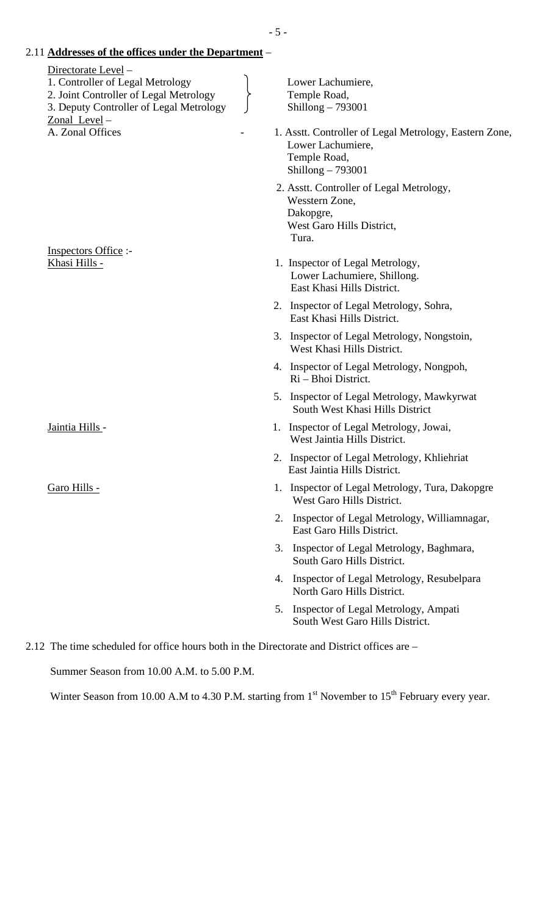2.11 **Addresses of the offices under the Department** – Directorate Level – 1. Controller of Legal Metrology Lower Lachumiere, 2. Joint Controller of Legal Metrology Pemple Road, 3. Deputy Controller of Legal Metrology  $\bigcup$  Shillong – 793001 Zonal Level – A. Zonal Offices **1. Asstt. Controller of Legal Metrology**, Eastern Zone, Lower Lachumiere, Temple Road, Shillong – 793001 2. Asstt. Controller of Legal Metrology, Wesstern Zone, Dakopgre, West Garo Hills District, **Tura.** The contract of the contract of the contract of the contract of the contract of the contract of the contract of the contract of the contract of the contract of the contract of the contract of the contract of the co Inspectors Office :- Khasi Hills - 1. Inspector of Legal Metrology, Lower Lachumiere, Shillong. East Khasi Hills District. 2. Inspector of Legal Metrology, Sohra, East Khasi Hills District. 3. Inspector of Legal Metrology, Nongstoin, West Khasi Hills District. 4. Inspector of Legal Metrology, Nongpoh, Ri – Bhoi District. 5. Inspector of Legal Metrology, Mawkyrwat South West Khasi Hills District Jaintia Hills - 1. Inspector of Legal Metrology, Jowai, West Jaintia Hills District. 2. Inspector of Legal Metrology, Khliehriat East Jaintia Hills District. Garo Hills - 1. Inspector of Legal Metrology, Tura, Dakopgre West Garo Hills District. 2. Inspector of Legal Metrology, Williamnagar, East Garo Hills District. 3. Inspector of Legal Metrology, Baghmara, South Garo Hills District. 4. Inspector of Legal Metrology, Resubelpara North Garo Hills District. 5. Inspector of Legal Metrology, Ampati

South West Garo Hills District.

2.12 The time scheduled for office hours both in the Directorate and District offices are –

Summer Season from 10.00 A.M. to 5.00 P.M.

Winter Season from 10.00 A.M to 4.30 P.M. starting from  $1<sup>st</sup>$  November to  $15<sup>th</sup>$  February every year.

- 5 -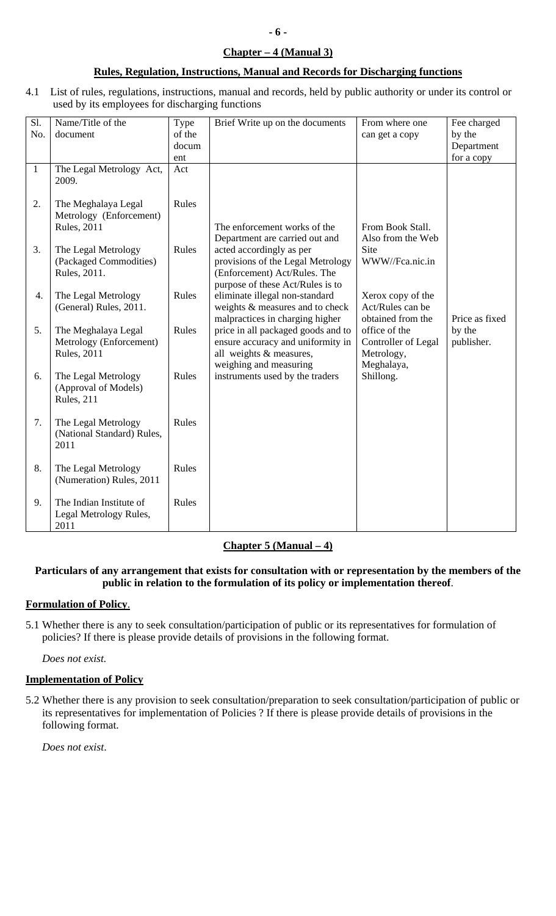## **Chapter – 4 (Manual 3)**

## **Rules, Regulation, Instructions, Manual and Records for Discharging functions**

4.1 List of rules, regulations, instructions, manual and records, held by public authority or under its control or used by its employees for discharging functions

| Sl.<br>No.   | Name/Title of the<br>document                                         | Type<br>of the<br>docum | Brief Write up on the documents                                                                                                                                     | From where one<br>can get a copy                                 | Fee charged<br>by the<br>Department |
|--------------|-----------------------------------------------------------------------|-------------------------|---------------------------------------------------------------------------------------------------------------------------------------------------------------------|------------------------------------------------------------------|-------------------------------------|
|              |                                                                       | ent                     |                                                                                                                                                                     |                                                                  | for a copy                          |
| $\mathbf{1}$ | The Legal Metrology Act,<br>2009.                                     | Act                     |                                                                                                                                                                     |                                                                  |                                     |
| 2.           | The Meghalaya Legal<br>Metrology (Enforcement)<br><b>Rules</b> , 2011 | Rules                   | The enforcement works of the                                                                                                                                        | From Book Stall.                                                 |                                     |
| 3.           | The Legal Metrology<br>(Packaged Commodities)<br>Rules, 2011.         | Rules                   | Department are carried out and<br>acted accordingly as per<br>provisions of the Legal Metrology<br>(Enforcement) Act/Rules. The<br>purpose of these Act/Rules is to | Also from the Web<br>Site<br>WWW//Fca.nic.in                     |                                     |
| 4.           | The Legal Metrology<br>(General) Rules, 2011.                         | Rules                   | eliminate illegal non-standard<br>weights & measures and to check<br>malpractices in charging higher                                                                | Xerox copy of the<br>Act/Rules can be<br>obtained from the       | Price as fixed                      |
| 5.           | The Meghalaya Legal<br>Metrology (Enforcement)<br><b>Rules</b> , 2011 | Rules                   | price in all packaged goods and to<br>ensure accuracy and uniformity in<br>all weights & measures,<br>weighing and measuring                                        | office of the<br>Controller of Legal<br>Metrology,<br>Meghalaya, | by the<br>publisher.                |
| 6.           | The Legal Metrology<br>(Approval of Models)<br>Rules, 211             | Rules                   | instruments used by the traders                                                                                                                                     | Shillong.                                                        |                                     |
| 7.           | The Legal Metrology<br>(National Standard) Rules,<br>2011             | Rules                   |                                                                                                                                                                     |                                                                  |                                     |
| 8.           | The Legal Metrology<br>(Numeration) Rules, 2011                       | Rules                   |                                                                                                                                                                     |                                                                  |                                     |
| 9.           | The Indian Institute of<br>Legal Metrology Rules,<br>2011             | Rules                   |                                                                                                                                                                     |                                                                  |                                     |

## **Chapter 5 (Manual – 4)**

## **Particulars of any arrangement that exists for consultation with or representation by the members of the public in relation to the formulation of its policy or implementation thereof**.

## **Formulation of Policy**.

5.1 Whether there is any to seek consultation/participation of public or its representatives for formulation of policies? If there is please provide details of provisions in the following format.

*Does not exist.* 

## **Implementation of Policy**

5.2 Whether there is any provision to seek consultation/preparation to seek consultation/participation of public or its representatives for implementation of Policies ? If there is please provide details of provisions in the following format.

*Does not exist*.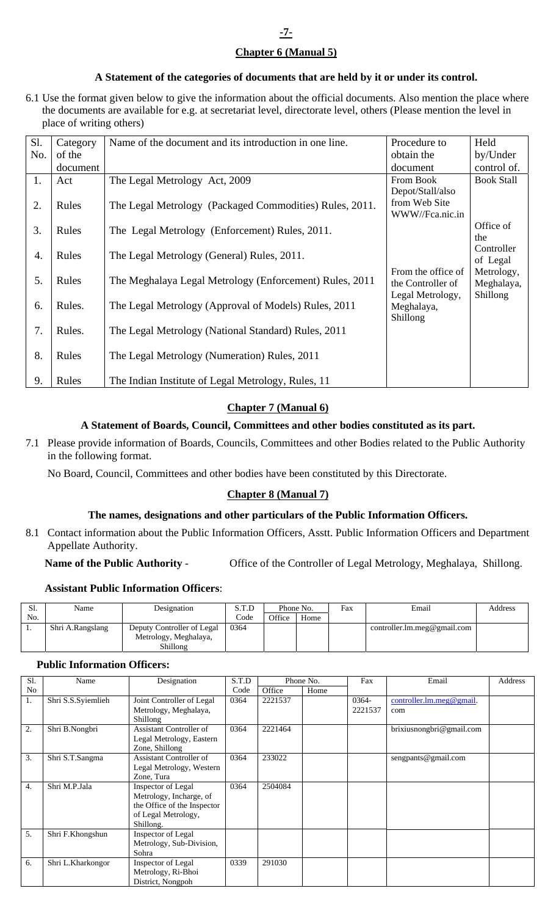## **Chapter 6 (Manual 5)**

## **A Statement of the categories of documents that are held by it or under its control.**

6.1 Use the format given below to give the information about the official documents. Also mention the place where the documents are available for e.g. at secretariat level, directorate level, others (Please mention the level in place of writing others)

| Sl. | Category | Name of the document and its introduction in one line.  | Procedure to       | Held                   |
|-----|----------|---------------------------------------------------------|--------------------|------------------------|
| No. | of the   |                                                         | obtain the         | by/Under               |
|     | document |                                                         | document           | control of.            |
| 1.  | Act      | The Legal Metrology Act, 2009                           | From Book          | <b>Book Stall</b>      |
|     |          |                                                         | Depot/Stall/also   |                        |
| 2.  | Rules    | The Legal Metrology (Packaged Commodities) Rules, 2011. | from Web Site      |                        |
|     |          |                                                         | WWW//Fca.nic.in    |                        |
| 3.  | Rules    | The Legal Metrology (Enforcement) Rules, 2011.          |                    | Office of              |
|     |          |                                                         |                    | the                    |
| 4.  | Rules    | The Legal Metrology (General) Rules, 2011.              |                    | Controller<br>of Legal |
|     |          |                                                         | From the office of | Metrology,             |
| 5.  | Rules    | The Meghalaya Legal Metrology (Enforcement) Rules, 2011 | the Controller of  | Meghalaya,             |
|     |          |                                                         | Legal Metrology,   | Shillong               |
| 6.  | Rules.   | The Legal Metrology (Approval of Models) Rules, 2011    | Meghalaya,         |                        |
|     |          |                                                         | Shillong           |                        |
| 7.  | Rules.   | The Legal Metrology (National Standard) Rules, 2011     |                    |                        |
|     |          |                                                         |                    |                        |
| 8.  | Rules    | The Legal Metrology (Numeration) Rules, 2011            |                    |                        |
|     |          |                                                         |                    |                        |
| 9.  | Rules    | The Indian Institute of Legal Metrology, Rules, 11      |                    |                        |

## **Chapter 7 (Manual 6)**

## **A Statement of Boards, Council, Committees and other bodies constituted as its part.**

7.1 Please provide information of Boards, Councils, Committees and other Bodies related to the Public Authority in the following format.

No Board, Council, Committees and other bodies have been constituted by this Directorate.

## **Chapter 8 (Manual 7)**

#### **The names, designations and other particulars of the Public Information Officers.**

8.1 Contact information about the Public Information Officers, Asstt. Public Information Officers and Department Appellate Authority.

#### **Name of the Public Authority** - Office of the Controller of Legal Metrology, Meghalaya, Shillong.

#### **Assistant Public Information Officers**:

| Ы.  | Name             | Designation                | S.T.D | Phone No. |      | Fax | Email                       | Address |
|-----|------------------|----------------------------|-------|-----------|------|-----|-----------------------------|---------|
| No. |                  |                            | Code  | Office    | Home |     |                             |         |
|     | Shri A.Rangslang | Deputy Controller of Legal | 0364  |           |      |     | controller.lm.meg@gmail.com |         |
|     |                  | Metrology, Meghalaya,      |       |           |      |     |                             |         |
|     |                  | Shillong                   |       |           |      |     |                             |         |

#### **Public Information Officers:**

| Sl. | Name               | Designation                 | S.T.D |         | Phone No. | Fax      | Email                    | Address |
|-----|--------------------|-----------------------------|-------|---------|-----------|----------|--------------------------|---------|
| No  |                    |                             | Code  | Office  | Home      |          |                          |         |
| 1.  | Shri S.S.Syiemlieh | Joint Controller of Legal   | 0364  | 2221537 |           | $0364 -$ | controller.lm.meg@gmail. |         |
|     |                    | Metrology, Meghalaya,       |       |         |           | 2221537  | com                      |         |
|     |                    | Shillong                    |       |         |           |          |                          |         |
| 2.  | Shri B.Nongbri     | Assistant Controller of     | 0364  | 2221464 |           |          | brixiusnongbri@gmail.com |         |
|     |                    | Legal Metrology, Eastern    |       |         |           |          |                          |         |
|     |                    | Zone, Shillong              |       |         |           |          |                          |         |
| 3.  | Shri S.T.Sangma    | Assistant Controller of     | 0364  | 233022  |           |          | sengpants@gmail.com      |         |
|     |                    | Legal Metrology, Western    |       |         |           |          |                          |         |
|     |                    | Zone, Tura                  |       |         |           |          |                          |         |
| 4.  | Shri M.P.Jala      | Inspector of Legal          | 0364  | 2504084 |           |          |                          |         |
|     |                    | Metrology, Incharge, of     |       |         |           |          |                          |         |
|     |                    | the Office of the Inspector |       |         |           |          |                          |         |
|     |                    | of Legal Metrology,         |       |         |           |          |                          |         |
|     |                    | Shillong.                   |       |         |           |          |                          |         |
| 5.  | Shri F.Khongshun   | Inspector of Legal          |       |         |           |          |                          |         |
|     |                    | Metrology, Sub-Division,    |       |         |           |          |                          |         |
|     |                    | Sohra                       |       |         |           |          |                          |         |
| 6.  | Shri L.Kharkongor  | Inspector of Legal          | 0339  | 291030  |           |          |                          |         |
|     |                    | Metrology, Ri-Bhoi          |       |         |           |          |                          |         |
|     |                    | District, Nongpoh           |       |         |           |          |                          |         |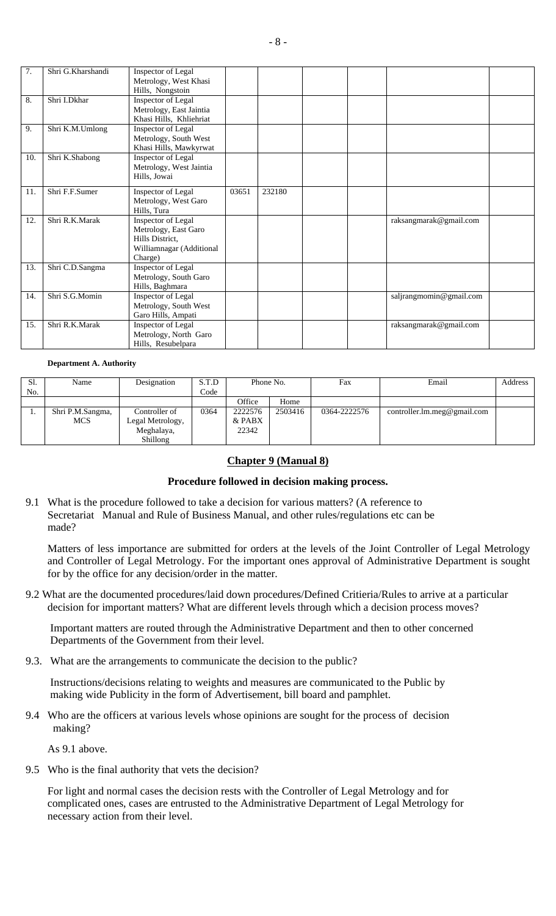| $\overline{7}$ . | Shri G.Kharshandi | Inspector of Legal<br>Metrology, West Khasi<br>Hills, Nongstoin                                      |       |        |  |                         |  |
|------------------|-------------------|------------------------------------------------------------------------------------------------------|-------|--------|--|-------------------------|--|
| 8.               | Shri I.Dkhar      | Inspector of Legal<br>Metrology, East Jaintia<br>Khasi Hills, Khliehriat                             |       |        |  |                         |  |
| 9.               | Shri K.M.Umlong   | Inspector of Legal<br>Metrology, South West<br>Khasi Hills, Mawkyrwat                                |       |        |  |                         |  |
| 10.              | Shri K.Shabong    | Inspector of Legal<br>Metrology, West Jaintia<br>Hills, Jowai                                        |       |        |  |                         |  |
| 11.              | Shri F.F.Sumer    | Inspector of Legal<br>Metrology, West Garo<br>Hills, Tura                                            | 03651 | 232180 |  |                         |  |
| 12.              | Shri R.K.Marak    | Inspector of Legal<br>Metrology, East Garo<br>Hills District,<br>Williamnagar (Additional<br>Charge) |       |        |  | raksangmarak@gmail.com  |  |
| 13.              | Shri C.D.Sangma   | Inspector of Legal<br>Metrology, South Garo<br>Hills, Baghmara                                       |       |        |  |                         |  |
| 14.              | Shri S.G.Momin    | Inspector of Legal<br>Metrology, South West<br>Garo Hills, Ampati                                    |       |        |  | saljrangmomin@gmail.com |  |
| 15.              | Shri R.K.Marak    | Inspector of Legal<br>Metrology, North Garo<br>Hills, Resubelpara                                    |       |        |  | raksangmarak@gmail.com  |  |

#### **Department A. Authority**

| Sl. | Name             | Designation      | S.T.D | Phone No. |         | Fax          | Email                       | Address |
|-----|------------------|------------------|-------|-----------|---------|--------------|-----------------------------|---------|
| No. |                  |                  | Code  |           |         |              |                             |         |
|     |                  |                  |       | Office    | Home    |              |                             |         |
|     | Shri P.M.Sangma, | Controller of    | 0364  | 2222576   | 2503416 | 0364-2222576 | controller.lm.meg@gmail.com |         |
|     | <b>MCS</b>       | Legal Metrology, |       | & PABX    |         |              |                             |         |
|     |                  | Meghalaya,       |       | 22342     |         |              |                             |         |
|     |                  | Shillong         |       |           |         |              |                             |         |

## **Chapter 9 (Manual 8)**

### **Procedure followed in decision making process.**

9.1 What is the procedure followed to take a decision for various matters? (A reference to Secretariat Manual and Rule of Business Manual, and other rules/regulations etc can be made?

 Matters of less importance are submitted for orders at the levels of the Joint Controller of Legal Metrology and Controller of Legal Metrology. For the important ones approval of Administrative Department is sought for by the office for any decision/order in the matter.

9.2 What are the documented procedures/laid down procedures/Defined Critieria/Rules to arrive at a particular decision for important matters? What are different levels through which a decision process moves?

 Important matters are routed through the Administrative Department and then to other concerned Departments of the Government from their level.

9.3. What are the arrangements to communicate the decision to the public?

 Instructions/decisions relating to weights and measures are communicated to the Public by making wide Publicity in the form of Advertisement, bill board and pamphlet.

9.4 Who are the officers at various levels whose opinions are sought for the process of decision making?

As 9.1 above.

9.5 Who is the final authority that vets the decision?

 For light and normal cases the decision rests with the Controller of Legal Metrology and for complicated ones, cases are entrusted to the Administrative Department of Legal Metrology for necessary action from their level.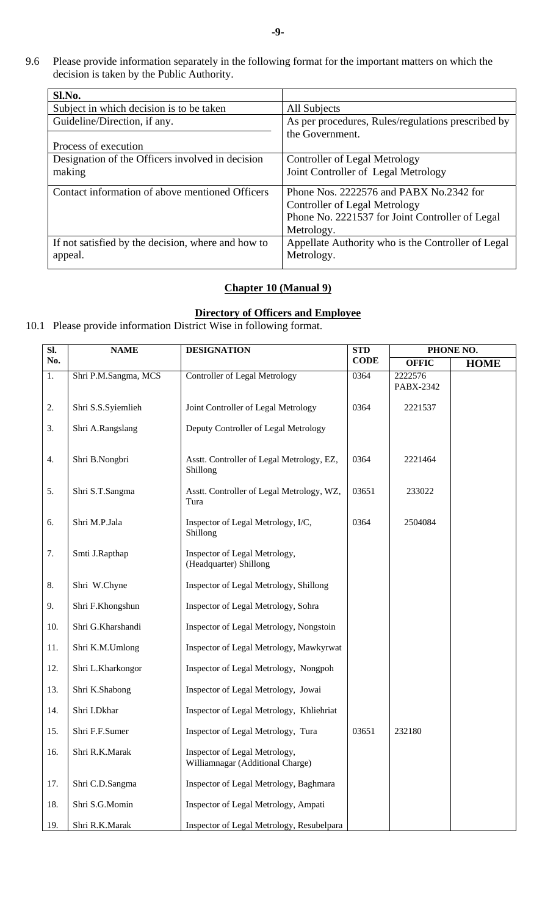9.6 Please provide information separately in the following format for the important matters on which the decision is taken by the Public Authority.

| Sl.No.                                             |                                                    |
|----------------------------------------------------|----------------------------------------------------|
| Subject in which decision is to be taken           | All Subjects                                       |
| Guideline/Direction, if any.                       | As per procedures, Rules/regulations prescribed by |
|                                                    | the Government.                                    |
| Process of execution                               |                                                    |
| Designation of the Officers involved in decision   | Controller of Legal Metrology                      |
| making                                             | Joint Controller of Legal Metrology                |
|                                                    |                                                    |
|                                                    |                                                    |
| Contact information of above mentioned Officers    | Phone Nos. 2222576 and PABX No.2342 for            |
|                                                    | <b>Controller of Legal Metrology</b>               |
|                                                    | Phone No. 2221537 for Joint Controller of Legal    |
|                                                    | Metrology.                                         |
| If not satisfied by the decision, where and how to | Appellate Authority who is the Controller of Legal |
| appeal.                                            | Metrology.                                         |

## **Chapter 10 (Manual 9)**

## **Directory of Officers and Employee**

10.1 Please provide information District Wise in following format.

| SI. | <b>NAME</b>          | <b>DESIGNATION</b>                                                | <b>STD</b>  | PHONE NO.            |             |  |
|-----|----------------------|-------------------------------------------------------------------|-------------|----------------------|-------------|--|
| No. |                      |                                                                   | <b>CODE</b> | <b>OFFIC</b>         | <b>HOME</b> |  |
| 1.  | Shri P.M.Sangma, MCS | <b>Controller of Legal Metrology</b>                              | 0364        | 2222576<br>PABX-2342 |             |  |
| 2.  | Shri S.S.Syiemlieh   | Joint Controller of Legal Metrology                               |             |                      |             |  |
| 3.  | Shri A.Rangslang     | Deputy Controller of Legal Metrology                              |             |                      |             |  |
| 4.  | Shri B.Nongbri       | Asstt. Controller of Legal Metrology, EZ,<br>Shillong             | 0364        | 2221464              |             |  |
| 5.  | Shri S.T.Sangma      | Asstt. Controller of Legal Metrology, WZ,<br>Tura                 | 03651       | 233022               |             |  |
| 6.  | Shri M.P.Jala        | Inspector of Legal Metrology, I/C,<br>Shillong                    | 0364        | 2504084              |             |  |
| 7.  | Smti J.Rapthap       | Inspector of Legal Metrology,<br>(Headquarter) Shillong           |             |                      |             |  |
| 8.  | Shri W.Chyne         | Inspector of Legal Metrology, Shillong                            |             |                      |             |  |
| 9.  | Shri F.Khongshun     | Inspector of Legal Metrology, Sohra                               |             |                      |             |  |
| 10. | Shri G.Kharshandi    | Inspector of Legal Metrology, Nongstoin                           |             |                      |             |  |
| 11. | Shri K.M.Umlong      | Inspector of Legal Metrology, Mawkyrwat                           |             |                      |             |  |
| 12. | Shri L.Kharkongor    | Inspector of Legal Metrology, Nongpoh                             |             |                      |             |  |
| 13. | Shri K.Shabong       | Inspector of Legal Metrology, Jowai                               |             |                      |             |  |
| 14. | Shri I.Dkhar         | Inspector of Legal Metrology, Khliehriat                          |             |                      |             |  |
| 15. | Shri F.F.Sumer       | Inspector of Legal Metrology, Tura                                | 03651       | 232180               |             |  |
| 16. | Shri R.K.Marak       | Inspector of Legal Metrology,<br>Williamnagar (Additional Charge) |             |                      |             |  |
| 17. | Shri C.D.Sangma      | Inspector of Legal Metrology, Baghmara                            |             |                      |             |  |
| 18. | Shri S.G.Momin       | Inspector of Legal Metrology, Ampati                              |             |                      |             |  |
| 19. | Shri R.K.Marak       | Inspector of Legal Metrology, Resubelpara                         |             |                      |             |  |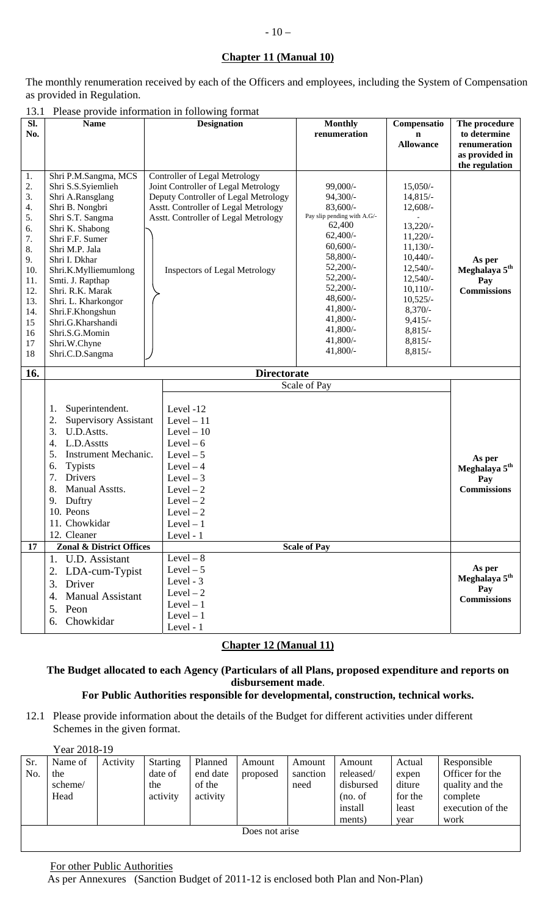## **Chapter 11 (Manual 10)**

The monthly renumeration received by each of the Officers and employees, including the System of Compensation as provided in Regulation.

13.1 Please provide information in following format

|                                                                                                                                                                                                                                                                                                                                                  | <b>Designation</b>                                                                                                                                                                                                                          | <b>Monthly</b><br>renumeration                                                                                                                                                                                                                     | Compensatio<br>n<br><b>Allowance</b>                                                                                                                                                                       | The procedure<br>to determine<br>renumeration<br>as provided in                    |
|--------------------------------------------------------------------------------------------------------------------------------------------------------------------------------------------------------------------------------------------------------------------------------------------------------------------------------------------------|---------------------------------------------------------------------------------------------------------------------------------------------------------------------------------------------------------------------------------------------|----------------------------------------------------------------------------------------------------------------------------------------------------------------------------------------------------------------------------------------------------|------------------------------------------------------------------------------------------------------------------------------------------------------------------------------------------------------------|------------------------------------------------------------------------------------|
| Shri P.M.Sangma, MCS<br>Shri S.S.Syiemlieh<br>Shri A.Ransglang<br>Shri B. Nongbri<br>Shri S.T. Sangma<br>Shri K. Shabong<br>Shri F.F. Sumer<br>Shri M.P. Jala<br>Shri I. Dkhar<br>Shri.K.Mylliemumlong<br>Smti. J. Rapthap<br>Shri. R.K. Marak<br>Shri. L. Kharkongor<br>Shri.F.Khongshun<br>Shri.G.Kharshandi<br>Shri.S.G.Momin<br>Shri.W.Chyne | <b>Controller of Legal Metrology</b><br>Joint Controller of Legal Metrology<br>Deputy Controller of Legal Metrology<br>Asstt. Controller of Legal Metrology<br>Asstt. Controller of Legal Metrology<br><b>Inspectors of Legal Metrology</b> | 99,000/-<br>$94,300/-$<br>$83,600/$ -<br>Pay slip pending with A.G/-<br>62,400<br>$62,400/$ -<br>$60,600/$ -<br>58,800/-<br>$52,200/-$<br>$52,200/-$<br>$52,200/$ -<br>$48,600/$ -<br>41,800/-<br>$41,800/-$<br>41,800/-<br>$41,800/-$<br>41,800/- | $15,050/-$<br>$14,815/-$<br>$12,608/-$<br>$13,220/-$<br>$11,220/-$<br>$11,130/-$<br>$10,440/-$<br>$12,540/-$<br>$12,540/-$<br>$10,110/-$<br>$10,525/-$<br>$8,370/-$<br>$9,415/-$<br>$8,815/-$<br>$8,815/-$ | the regulation<br>As per<br>Meghalaya 5 <sup>th</sup><br>Pay<br><b>Commissions</b> |
|                                                                                                                                                                                                                                                                                                                                                  |                                                                                                                                                                                                                                             |                                                                                                                                                                                                                                                    |                                                                                                                                                                                                            |                                                                                    |
| Superintendent.<br>1.<br>2.<br>3.<br>U.D.Astts.<br>4.<br>L.D.Asstts<br>5.<br>Typists<br>6.<br>7.<br><b>Drivers</b><br>8.<br>Manual Asstts.<br>Duftry<br>9.<br>10. Peons<br>11. Chowkidar<br>12. Cleaner                                                                                                                                          | Level -12<br>Level $-11$<br>Level $-10$<br>Level $-6$<br>Level $-5$<br>Level $-4$<br>Level $-3$<br>Level $-2$<br>$Level-2$<br>Level $-2$<br>$Level-1$<br>Level - 1                                                                          |                                                                                                                                                                                                                                                    |                                                                                                                                                                                                            | As per<br>Meghalaya 5 <sup>th</sup><br>Pay<br><b>Commissions</b>                   |
| 1. U.D. Assistant<br>2. LDA-cum-Typist<br>Driver<br>3.<br><b>Manual Assistant</b><br>4.<br>5. Peon                                                                                                                                                                                                                                               | Level $-8$<br>Level $-5$<br>Level - 3<br>Level $-2$<br>$Level-1$<br>$Level - 1$                                                                                                                                                             |                                                                                                                                                                                                                                                    |                                                                                                                                                                                                            | As per<br>Meghalaya 5 <sup>th</sup><br>Pay<br><b>Commissions</b>                   |
|                                                                                                                                                                                                                                                                                                                                                  | Shri.C.D.Sangma<br>6. Chowkidar                                                                                                                                                                                                             | <b>Supervisory Assistant</b><br>Instrument Mechanic.<br>Zonal & District Offices<br>Level - 1                                                                                                                                                      | <b>Directorate</b><br>Scale of Pay<br><b>Scale of Pay</b>                                                                                                                                                  | $8,815/-$                                                                          |

## **Chapter 12 (Manual 11)**

## **The Budget allocated to each Agency (Particulars of all Plans, proposed expenditure and reports on disbursement made**.

## **For Public Authorities responsible for developmental, construction, technical works.**

12.1 Please provide information about the details of the Budget for different activities under different Schemes in the given format.

| Sr.<br>No. | Name of<br>the | Activity | <b>Starting</b><br>date of | Planned<br>end date | Amount<br>proposed | Amount<br>sanction | Amount<br>released/ | Actual<br>expen | Responsible<br>Officer for the |
|------------|----------------|----------|----------------------------|---------------------|--------------------|--------------------|---------------------|-----------------|--------------------------------|
|            | scheme/        |          | the                        | of the              |                    | need               | disbursed           | diture          | quality and the                |
|            | Head           |          | activity                   | activity            |                    |                    | (no. of             | for the         | complete                       |
|            |                |          |                            |                     |                    |                    | install             | least           | execution of the               |
|            |                |          |                            |                     |                    |                    | ments)              | year            | work                           |
|            |                |          |                            |                     | Does not arise     |                    |                     |                 |                                |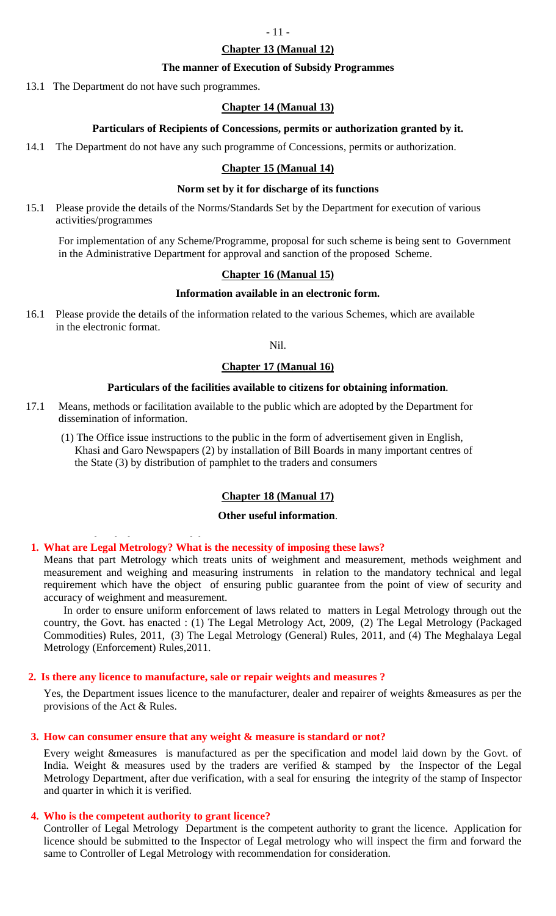## **Chapter 13 (Manual 12)**

#### **The manner of Execution of Subsidy Programmes**

13.1 The Department do not have such programmes.

#### **Chapter 14 (Manual 13)**

#### **Particulars of Recipients of Concessions, permits or authorization granted by it.**

14.1 The Department do not have any such programme of Concessions, permits or authorization.

#### **Chapter 15 (Manual 14)**

#### **Norm set by it for discharge of its functions**

15.1 Please provide the details of the Norms/Standards Set by the Department for execution of various activities/programmes

 For implementation of any Scheme/Programme, proposal for such scheme is being sent to Government in the Administrative Department for approval and sanction of the proposed Scheme.

#### **Chapter 16 (Manual 15)**

#### **Information available in an electronic form.**

16.1 Please provide the details of the information related to the various Schemes, which are available in the electronic format.

### Nil.

## **Chapter 17 (Manual 16)**

#### **Particulars of the facilities available to citizens for obtaining information**.

17.1 Means, methods or facilitation available to the public which are adopted by the Department for dissemination of information.

 (1) The Office issue instructions to the public in the form of advertisement given in English, Khasi and Garo Newspapers (2) by installation of Bill Boards in many important centres of the State (3) by distribution of pamphlet to the traders and consumers

#### **Chapter 18 (Manual 17)**

#### **Other useful information**.

# 1. What are Legal Metrology? What is the necessity of imposing these laws?<br>Means that next Metrology? What is the necessity of imposing these laws?

Means that part Metrology which treats units of weighment and measurement, methods weighment and measurement and weighing and measuring instruments in relation to the mandatory technical and legal requirement which have the object of ensuring public guarantee from the point of view of security and accuracy of weighment and measurement.

In order to ensure uniform enforcement of laws related to matters in Legal Metrology through out the country, the Govt. has enacted : (1) The Legal Metrology Act, 2009, (2) The Legal Metrology (Packaged Commodities) Rules, 2011, (3) The Legal Metrology (General) Rules, 2011, and (4) The Meghalaya Legal Metrology (Enforcement) Rules,2011.

#### **2. Is there any licence to manufacture, sale or repair weights and measures ?**

Yes, the Department issues licence to the manufacturer, dealer and repairer of weights &measures as per the provisions of the Act & Rules.

#### **3. How can consumer ensure that any weight & measure is standard or not?**

Every weight &measures is manufactured as per the specification and model laid down by the Govt. of India. Weight  $\&$  measures used by the traders are verified  $\&$  stamped by the Inspector of the Legal Metrology Department, after due verification, with a seal for ensuring the integrity of the stamp of Inspector and quarter in which it is verified.

#### **4. Who is the competent authority to grant licence?**

Controller of Legal Metrology Department is the competent authority to grant the licence. Application for licence should be submitted to the Inspector of Legal metrology who will inspect the firm and forward the same to Controller of Legal Metrology with recommendation for consideration.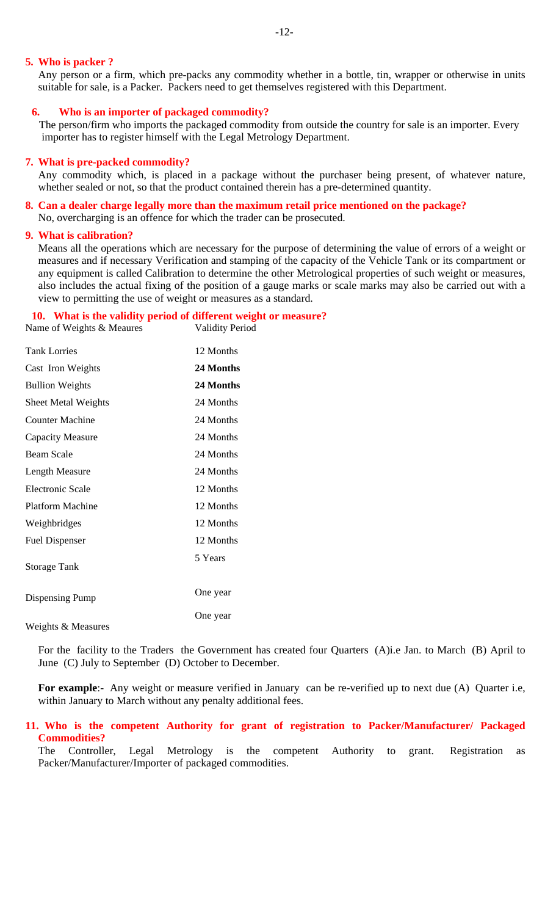#### **5. Who is packer ?**

Any person or a firm, which pre-packs any commodity whether in a bottle, tin, wrapper or otherwise in units suitable for sale, is a Packer. Packers need to get themselves registered with this Department.

#### **6. Who is an importer of packaged commodity?**

The person/firm who imports the packaged commodity from outside the country for sale is an importer. Every importer has to register himself with the Legal Metrology Department.

#### **7. What is pre-packed commodity?**

Any commodity which, is placed in a package without the purchaser being present, of whatever nature, whether sealed or not, so that the product contained therein has a pre-determined quantity.

## **8. Can a dealer charge legally more than the maximum retail price mentioned on the package?**

No, overcharging is an offence for which the trader can be prosecuted.

## **9. What is calibration?**

Means all the operations which are necessary for the purpose of determining the value of errors of a weight or measures and if necessary Verification and stamping of the capacity of the Vehicle Tank or its compartment or any equipment is called Calibration to determine the other Metrological properties of such weight or measures, also includes the actual fixing of the position of a gauge marks or scale marks may also be carried out with a view to permitting the use of weight or measures as a standard.

#### **10. What is the validity period of different weight or measure?**<br>
Validity Period<br>
Validity Period Name of Weights & Meaures

| <b>Tank Lorries</b>        | 12 Months |
|----------------------------|-----------|
| Cast Iron Weights          | 24 Months |
| <b>Bullion Weights</b>     | 24 Months |
| <b>Sheet Metal Weights</b> | 24 Months |
| <b>Counter Machine</b>     | 24 Months |
| <b>Capacity Measure</b>    | 24 Months |
| <b>Beam Scale</b>          | 24 Months |
| Length Measure             | 24 Months |
| Electronic Scale           | 12 Months |
| <b>Platform Machine</b>    | 12 Months |
| Weighbridges               | 12 Months |
| <b>Fuel Dispenser</b>      | 12 Months |
| <b>Storage Tank</b>        | 5 Years   |
| Dispensing Pump            | One year  |
| Weights & Measures         | One year  |

For the facility to the Traders the Government has created four Quarters (A)i.e Jan. to March (B) April to June (C) July to September (D) October to December.

**For example**:- Any weight or measure verified in January can be re-verified up to next due (A) Quarter i.e, within January to March without any penalty additional fees.

## **11. Who is the competent Authority for grant of registration to Packer/Manufacturer/ Packaged Commodities?**

The Controller, Legal Metrology is the competent Authority to grant. Registration as Packer/Manufacturer/Importer of packaged commodities.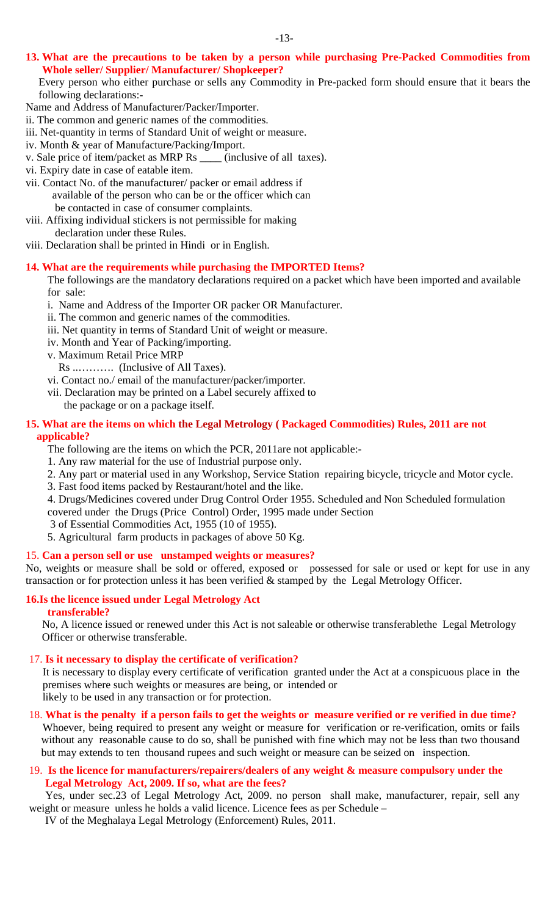**13. What are the precautions to be taken by a person while purchasing Pre-Packed Commodities from Whole seller/ Supplier/ Manufacturer/ Shopkeeper?** 

Every person who either purchase or sells any Commodity in Pre-packed form should ensure that it bears the following declarations:-

- Name and Address of Manufacturer/Packer/Importer.
- ii. The common and generic names of the commodities.
- iii. Net-quantity in terms of Standard Unit of weight or measure.
- iv. Month & year of Manufacture/Packing/Import.
- v. Sale price of item/packet as MRP Rs \_\_\_\_ (inclusive of all taxes).
- vi. Expiry date in case of eatable item.
- vii. Contact No. of the manufacturer/ packer or email address if available of the person who can be or the officer which can be contacted in case of consumer complaints.
- viii. Affixing individual stickers is not permissible for making declaration under these Rules.
- viii. Declaration shall be printed in Hindi or in English.

## **14. What are the requirements while purchasing the IMPORTED Items?**

The followings are the mandatory declarations required on a packet which have been imported and available for sale:

- i. Name and Address of the Importer OR packer OR Manufacturer.
- ii. The common and generic names of the commodities.
- iii. Net quantity in terms of Standard Unit of weight or measure.
- iv. Month and Year of Packing/importing.
- v. Maximum Retail Price MRP
	- Rs ..………. (Inclusive of All Taxes).
- vi. Contact no./ email of the manufacturer/packer/importer.
- vii. Declaration may be printed on a Label securely affixed to
	- the package or on a package itself.

## **15. What are the items on which the Legal Metrology ( Packaged Commodities) Rules, 2011 are not**

## **applicable?**

- The following are the items on which the PCR, 2011are not applicable:-
- 1. Any raw material for the use of Industrial purpose only.
- 2. Any part or material used in any Workshop, Service Station repairing bicycle, tricycle and Motor cycle.
- 3. Fast food items packed by Restaurant/hotel and the like.

4. Drugs/Medicines covered under Drug Control Order 1955. Scheduled and Non Scheduled formulation covered under the Drugs (Price Control) Order, 1995 made under Section

- 3 of Essential Commodities Act, 1955 (10 of 1955).
- 5. Agricultural farm products in packages of above 50 Kg.

## 15. **Can a person sell or use unstamped weights or measures?**

No, weights or measure shall be sold or offered, exposed or possessed for sale or used or kept for use in any transaction or for protection unless it has been verified & stamped by the Legal Metrology Officer.

## **16.Is the licence issued under Legal Metrology Act**

## **transferable?**

 No, A licence issued or renewed under this Act is not saleable or otherwise transferablethe Legal Metrology Officer or otherwise transferable.

## 17. **Is it necessary to display the certificate of verification?**

It is necessary to display every certificate of verification granted under the Act at a conspicuous place in the premises where such weights or measures are being, or intended or

likely to be used in any transaction or for protection.

18. **What is the penalty if a person fails to get the weights or measure verified or re verified in due time?**  Whoever, being required to present any weight or measure for verification or re-verification, omits or fails

without any reasonable cause to do so, shall be punished with fine which may not be less than two thousand but may extends to ten thousand rupees and such weight or measure can be seized on inspection.

## 19. **Is the licence for manufacturers/repairers/dealers of any weight & measure compulsory under the Legal Metrology Act, 2009. If so, what are the fees?**

 Yes, under sec.23 of Legal Metrology Act, 2009. no person shall make, manufacturer, repair, sell any weight or measure unless he holds a valid licence. Licence fees as per Schedule –

IV of the Meghalaya Legal Metrology (Enforcement) Rules, 2011.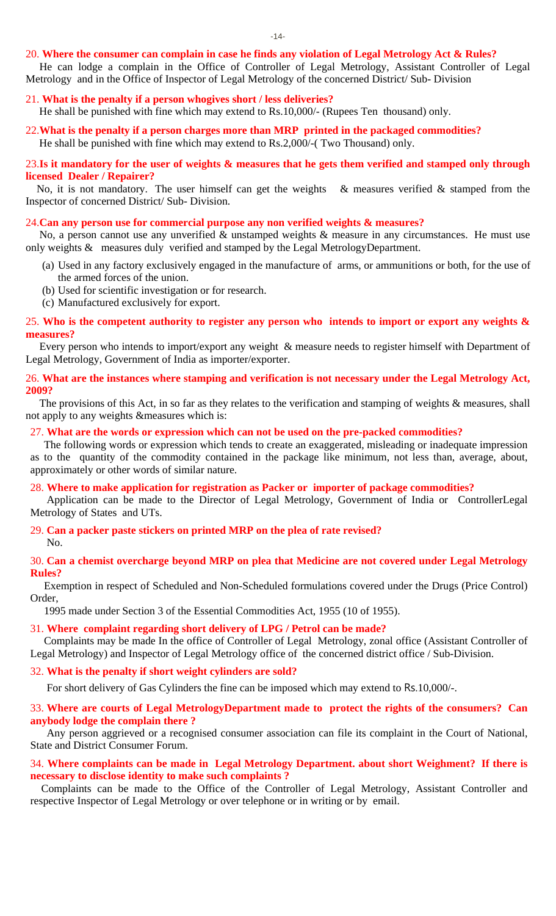#### 20. **Where the consumer can complain in case he finds any violation of Legal Metrology Act & Rules?**

 He can lodge a complain in the Office of Controller of Legal Metrology, Assistant Controller of Legal Metrology and in the Office of Inspector of Legal Metrology of the concerned District/ Sub- Division

- 21. **What is the penalty if a person whogives short / less deliveries?**  He shall be punished with fine which may extend to Rs.10,000/- (Rupees Ten thousand) only.
- 22.**What is the penalty if a person charges more than MRP printed in the packaged commodities?**  He shall be punished with fine which may extend to Rs.2,000/-( Two Thousand) only.

#### 23.**Is it mandatory for the user of weights & measures that he gets them verified and stamped only through licensed Dealer / Repairer?**

No, it is not mandatory. The user himself can get the weights  $\&$  measures verified  $\&$  stamped from the Inspector of concerned District/ Sub- Division.

#### 24.**Can any person use for commercial purpose any non verified weights & measures?**

 No, a person cannot use any unverified & unstamped weights & measure in any circumstances. He must use only weights & measures duly verified and stamped by the Legal MetrologyDepartment.

- (a) Used in any factory exclusively engaged in the manufacture of arms, or ammunitions or both, for the use of the armed forces of the union.
- (b) Used for scientific investigation or for research.
- (c) Manufactured exclusively for export.

#### 25. **Who is the competent authority to register any person who intends to import or export any weights & measures?**

 Every person who intends to import/export any weight & measure needs to register himself with Department of Legal Metrology, Government of India as importer/exporter.

#### 26. **What are the instances where stamping and verification is not necessary under the Legal Metrology Act, 2009?**

The provisions of this Act, in so far as they relates to the verification and stamping of weights & measures, shall not apply to any weights &measures which is:

#### 27. **What are the words or expression which can not be used on the pre-packed commodities?**

 The following words or expression which tends to create an exaggerated, misleading or inadequate impression as to the quantity of the commodity contained in the package like minimum, not less than, average, about, approximately or other words of similar nature.

#### 28. **Where to make application for registration as Packer or importer of package commodities?**

 Application can be made to the Director of Legal Metrology, Government of India or ControllerLegal Metrology of States and UTs.

#### 29. **Can a packer paste stickers on printed MRP on the plea of rate revised?**

No.

#### 30. **Can a chemist overcharge beyond MRP on plea that Medicine are not covered under Legal Metrology Rules?**

 Exemption in respect of Scheduled and Non-Scheduled formulations covered under the Drugs (Price Control) Order,

1995 made under Section 3 of the Essential Commodities Act, 1955 (10 of 1955).

31. **Where complaint regarding short delivery of LPG / Petrol can be made?** 

 Complaints may be made In the office of Controller of Legal Metrology, zonal office (Assistant Controller of Legal Metrology) and Inspector of Legal Metrology office of the concerned district office / Sub-Division.

#### 32. **What is the penalty if short weight cylinders are sold?**

For short delivery of Gas Cylinders the fine can be imposed which may extend to Rs.10,000/-.

#### 33. **Where are courts of Legal MetrologyDepartment made to protect the rights of the consumers? Can anybody lodge the complain there ?**

 Any person aggrieved or a recognised consumer association can file its complaint in the Court of National, State and District Consumer Forum.

#### 34. **Where complaints can be made in Legal Metrology Department. about short Weighment? If there is necessary to disclose identity to make such complaints ?**

 Complaints can be made to the Office of the Controller of Legal Metrology, Assistant Controller and respective Inspector of Legal Metrology or over telephone or in writing or by email.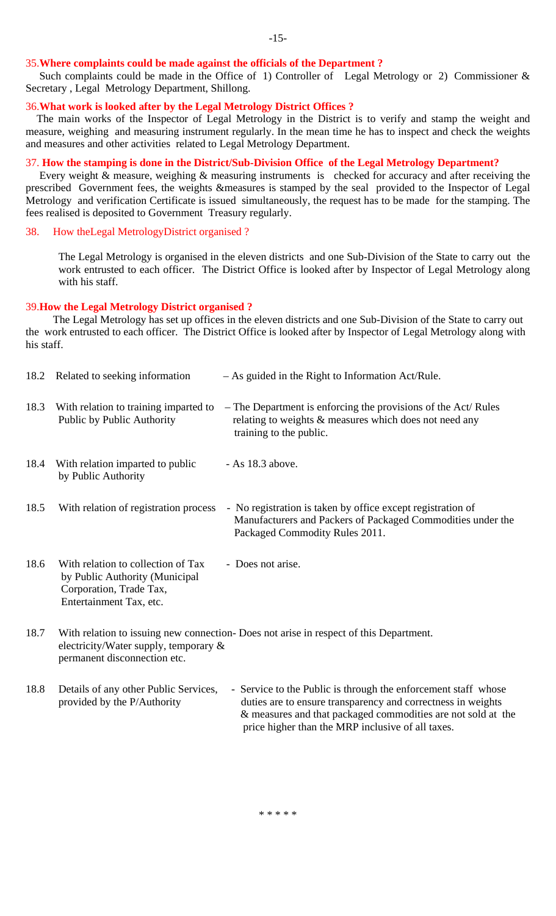#### 35.**Where complaints could be made against the officials of the Department ?**

Such complaints could be made in the Office of 1) Controller of Legal Metrology or 2) Commissioner  $\&$ Secretary , Legal Metrology Department, Shillong.

#### 36.**What work is looked after by the Legal Metrology District Offices ?**

 The main works of the Inspector of Legal Metrology in the District is to verify and stamp the weight and measure, weighing and measuring instrument regularly. In the mean time he has to inspect and check the weights and measures and other activities related to Legal Metrology Department.

#### 37. **How the stamping is done in the District/Sub-Division Office of the Legal Metrology Department?**

 Every weight & measure, weighing & measuring instruments is checked for accuracy and after receiving the prescribed Government fees, the weights &measures is stamped by the seal provided to the Inspector of Legal Metrology and verification Certificate is issued simultaneously, the request has to be made for the stamping. The fees realised is deposited to Government Treasury regularly.

#### 38. How theLegal MetrologyDistrict organised ?

The Legal Metrology is organised in the eleven districts and one Sub-Division of the State to carry out the work entrusted to each officer. The District Office is looked after by Inspector of Legal Metrology along with his staff.

#### 39.**How the Legal Metrology District organised ?**

 The Legal Metrology has set up offices in the eleven districts and one Sub-Division of the State to carry out the work entrusted to each officer. The District Office is looked after by Inspector of Legal Metrology along with his staff.

| 18.2 | Related to seeking information                                                                                             | $-$ As guided in the Right to Information Act/Rule.                                                                                                                                                                                                 |
|------|----------------------------------------------------------------------------------------------------------------------------|-----------------------------------------------------------------------------------------------------------------------------------------------------------------------------------------------------------------------------------------------------|
| 18.3 | With relation to training imparted to<br>Public by Public Authority                                                        | - The Department is enforcing the provisions of the Act/ Rules<br>relating to weights & measures which does not need any<br>training to the public.                                                                                                 |
| 18.4 | With relation imparted to public<br>by Public Authority                                                                    | - As 18.3 above.                                                                                                                                                                                                                                    |
| 18.5 | With relation of registration process                                                                                      | - No registration is taken by office except registration of<br>Manufacturers and Packers of Packaged Commodities under the<br>Packaged Commodity Rules 2011.                                                                                        |
| 18.6 | With relation to collection of Tax<br>by Public Authority (Municipal<br>Corporation, Trade Tax,<br>Entertainment Tax, etc. | - Does not arise.                                                                                                                                                                                                                                   |
| 18.7 | electricity/Water supply, temporary $\&$<br>permanent disconnection etc.                                                   | With relation to issuing new connection- Does not arise in respect of this Department.                                                                                                                                                              |
| 18.8 | Details of any other Public Services,<br>provided by the P/Authority                                                       | - Service to the Public is through the enforcement staff whose<br>duties are to ensure transparency and correctness in weights<br>& measures and that packaged commodities are not sold at the<br>price higher than the MRP inclusive of all taxes. |

#### \* \* \* \* \*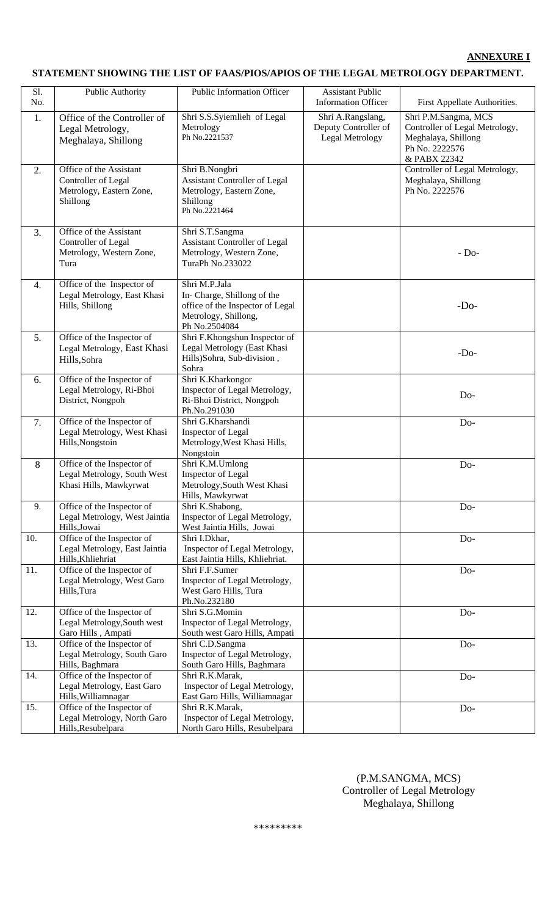#### **ANNEXURE I**

## **STATEMENT SHOWING THE LIST OF FAAS/PIOS/APIOS OF THE LEGAL METROLOGY DEPARTMENT.**

| Sl. | Public Authority                                                                                                                                                                                          | Public Information Officer                                                                                               | <b>Assistant Public</b>                                      |                                                                                                                 |
|-----|-----------------------------------------------------------------------------------------------------------------------------------------------------------------------------------------------------------|--------------------------------------------------------------------------------------------------------------------------|--------------------------------------------------------------|-----------------------------------------------------------------------------------------------------------------|
| No. |                                                                                                                                                                                                           |                                                                                                                          | <b>Information Officer</b>                                   | First Appellate Authorities.                                                                                    |
| 1.  | Office of the Controller of<br>Legal Metrology,<br>Meghalaya, Shillong                                                                                                                                    | Shri S.S.Syiemlieh of Legal<br>Metrology<br>Ph No.2221537                                                                | Shri A.Rangslang,<br>Deputy Controller of<br>Legal Metrology | Shri P.M.Sangma, MCS<br>Controller of Legal Metrology,<br>Meghalaya, Shillong<br>Ph No. 2222576<br>& PABX 22342 |
| 2.  | Office of the Assistant<br>Shri B.Nongbri<br>Controller of Legal<br><b>Assistant Controller of Legal</b><br>Metrology, Eastern Zone,<br>Metrology, Eastern Zone,<br>Shillong<br>Shillong<br>Ph No.2221464 |                                                                                                                          |                                                              | Controller of Legal Metrology,<br>Meghalaya, Shillong<br>Ph No. 2222576                                         |
| 3.  | Office of the Assistant<br>Controller of Legal<br>Metrology, Western Zone,<br>Tura                                                                                                                        | Shri S.T.Sangma<br><b>Assistant Controller of Legal</b><br>Metrology, Western Zone,<br>TuraPh No.233022                  |                                                              | $-Do-$                                                                                                          |
| 4.  | Office of the Inspector of<br>Legal Metrology, East Khasi<br>Hills, Shillong                                                                                                                              | Shri M.P.Jala<br>In-Charge, Shillong of the<br>office of the Inspector of Legal<br>Metrology, Shillong,<br>Ph No.2504084 |                                                              | $-Do-$                                                                                                          |
| 5.  | Office of the Inspector of<br>Legal Metrology, East Khasi<br>Hills, Sohra                                                                                                                                 | Shri F.Khongshun Inspector of<br>Legal Metrology (East Khasi<br>Hills)Sohra, Sub-division,<br>Sohra                      |                                                              | $-Do-$                                                                                                          |
| 6.  | Office of the Inspector of<br>Legal Metrology, Ri-Bhoi<br>District, Nongpoh                                                                                                                               | Shri K.Kharkongor<br>Inspector of Legal Metrology,<br>Ri-Bhoi District, Nongpoh<br>Ph.No.291030                          |                                                              | Do-                                                                                                             |
| 7.  | Office of the Inspector of<br>Legal Metrology, West Khasi<br>Hills, Nongstoin                                                                                                                             | Shri G.Kharshandi<br>Inspector of Legal<br>Metrology, West Khasi Hills,<br>Nongstoin                                     |                                                              | Do-                                                                                                             |
| 8   | Office of the Inspector of<br>Legal Metrology, South West<br>Khasi Hills, Mawkyrwat                                                                                                                       | Shri K.M.Umlong<br>Inspector of Legal<br>Metrology, South West Khasi<br>Hills, Mawkyrwat                                 |                                                              | D <sub>o</sub> -                                                                                                |
| 9.  | Office of the Inspector of<br>Legal Metrology, West Jaintia<br>Hills, Jowai                                                                                                                               | Shri K.Shabong,<br>Inspector of Legal Metrology,<br>West Jaintia Hills, Jowai                                            |                                                              | Do-                                                                                                             |
| 10. | Office of the Inspector of<br>Legal Metrology, East Jaintia<br>Hills, Khliehriat                                                                                                                          | Shri I.Dkhar,<br>Inspector of Legal Metrology,<br>East Jaintia Hills, Khliehriat.                                        |                                                              | Do-                                                                                                             |
| 11. | Office of the Inspector of<br>Legal Metrology, West Garo<br>Hills, Tura                                                                                                                                   | Shri F.F.Sumer<br>Inspector of Legal Metrology,<br>West Garo Hills, Tura<br>Ph.No.232180                                 |                                                              | Do-                                                                                                             |
| 12. | Office of the Inspector of<br>Legal Metrology, South west<br>Garo Hills, Ampati                                                                                                                           | Shri S.G.Momin<br>Inspector of Legal Metrology,<br>South west Garo Hills, Ampati                                         |                                                              | Do-                                                                                                             |
| 13. | Office of the Inspector of<br>Legal Metrology, South Garo<br>Hills, Baghmara                                                                                                                              | Shri C.D.Sangma<br>Inspector of Legal Metrology,<br>South Garo Hills, Baghmara                                           |                                                              | D <sub>o</sub> -                                                                                                |
| 14. | Office of the Inspector of<br>Legal Metrology, East Garo<br>Hills, Williamnagar                                                                                                                           | Shri R.K.Marak,<br>Inspector of Legal Metrology,<br>East Garo Hills, Williamnagar                                        |                                                              | Do-                                                                                                             |
| 15. | Office of the Inspector of<br>Legal Metrology, North Garo<br>Hills, Resubelpara                                                                                                                           | Shri R.K.Marak,<br>Inspector of Legal Metrology,<br>North Garo Hills, Resubelpara                                        |                                                              | $Do-$                                                                                                           |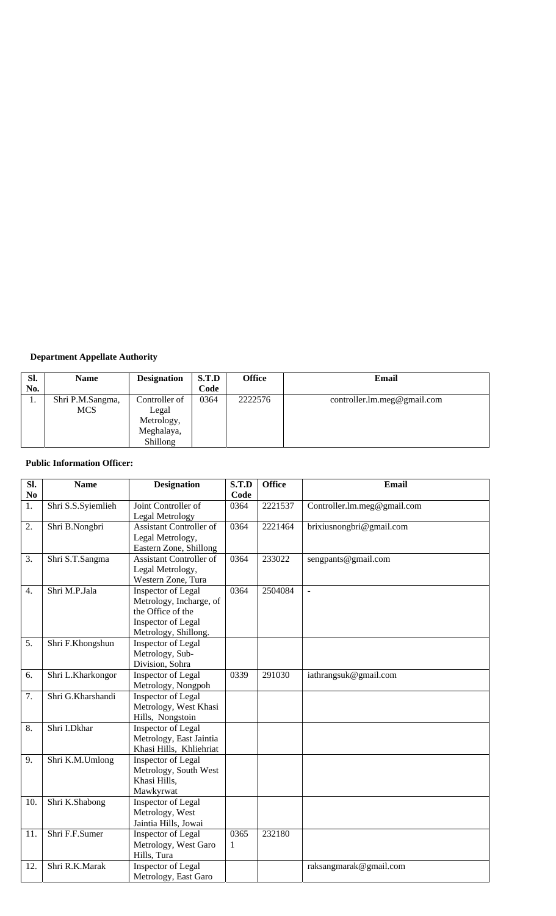## **Department Appellate Authority**

| SI. | <b>Name</b>      | <b>Designation</b> | S.T.D | <b>Office</b> | Email                       |
|-----|------------------|--------------------|-------|---------------|-----------------------------|
| No. |                  |                    | Code  |               |                             |
| ı.  | Shri P.M.Sangma, | Controller of      | 0364  | 2222576       | controller.lm.meg@gmail.com |
|     | <b>MCS</b>       | Legal              |       |               |                             |
|     |                  | Metrology,         |       |               |                             |
|     |                  | Meghalaya,         |       |               |                             |
|     |                  | <b>Shillong</b>    |       |               |                             |

## **Public Information Officer:**

| $\overline{\text{SL}}$<br>N <sub>0</sub> | <b>Name</b>        | <b>Designation</b>                                                                                               | S.T.D<br>Code | <b>Office</b> | <b>Email</b>                |
|------------------------------------------|--------------------|------------------------------------------------------------------------------------------------------------------|---------------|---------------|-----------------------------|
| 1.                                       | Shri S.S.Syiemlieh | Joint Controller of<br>Legal Metrology                                                                           | 0364          | 2221537       | Controller.lm.meg@gmail.com |
| 2.                                       | Shri B.Nongbri     | <b>Assistant Controller of</b><br>Legal Metrology,<br>Eastern Zone, Shillong                                     | 0364          | 2221464       | brixiusnongbri@gmail.com    |
| 3.                                       | Shri S.T.Sangma    | <b>Assistant Controller of</b><br>Legal Metrology,<br>Western Zone, Tura                                         | 0364          | 233022        | sengpants@gmail.com         |
| 4.                                       | Shri M.P.Jala      | Inspector of Legal<br>Metrology, Incharge, of<br>the Office of the<br>Inspector of Legal<br>Metrology, Shillong. | 0364          | 2504084       | $\overline{a}$              |
| 5.                                       | Shri F.Khongshun   | Inspector of Legal<br>Metrology, Sub-<br>Division, Sohra                                                         |               |               |                             |
| 6.                                       | Shri L.Kharkongor  | Inspector of Legal<br>Metrology, Nongpoh                                                                         | 0339          | 291030        | iathrangsuk@gmail.com       |
| 7.                                       | Shri G.Kharshandi  | Inspector of Legal<br>Metrology, West Khasi<br>Hills, Nongstoin                                                  |               |               |                             |
| 8.                                       | Shri I.Dkhar       | Inspector of Legal<br>Metrology, East Jaintia<br>Khasi Hills, Khliehriat                                         |               |               |                             |
| 9.                                       | Shri K.M.Umlong    | Inspector of Legal<br>Metrology, South West<br>Khasi Hills,<br>Mawkyrwat                                         |               |               |                             |
| 10.                                      | Shri K.Shabong     | Inspector of Legal<br>Metrology, West<br>Jaintia Hills, Jowai                                                    |               |               |                             |
| 11.                                      | Shri F.F.Sumer     | Inspector of Legal<br>Metrology, West Garo<br>Hills, Tura                                                        | 0365<br>1     | 232180        |                             |
| 12.                                      | Shri R.K.Marak     | Inspector of Legal<br>Metrology, East Garo                                                                       |               |               | raksangmarak@gmail.com      |